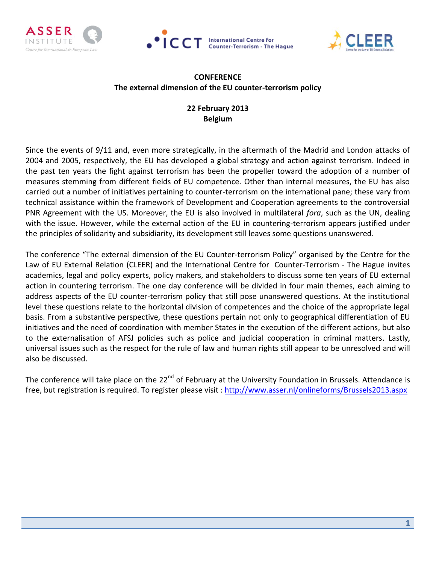





### **CONFERENCE The external dimension of the EU counter-terrorism policy**

### **22 February 2013 Belgium**

Since the events of 9/11 and, even more strategically, in the aftermath of the Madrid and London attacks of 2004 and 2005, respectively, the EU has developed a global strategy and action against terrorism. Indeed in the past ten years the fight against terrorism has been the propeller toward the adoption of a number of measures stemming from different fields of EU competence. Other than internal measures, the EU has also carried out a number of initiatives pertaining to counter-terrorism on the international pane; these vary from technical assistance within the framework of Development and Cooperation agreements to the controversial PNR Agreement with the US. Moreover, the EU is also involved in multilateral *fora*, such as the UN, dealing with the issue. However, while the external action of the EU in countering-terrorism appears justified under the principles of solidarity and subsidiarity, its development still leaves some questions unanswered.

The conference "The external dimension of the EU Counter-terrorism Policy" organised by the Centre for the Law of EU External Relation (CLEER) and the International Centre for Counter-Terrorism - The Hague invites academics, legal and policy experts, policy makers, and stakeholders to discuss some ten years of EU external action in countering terrorism. The one day conference will be divided in four main themes, each aiming to address aspects of the EU counter-terrorism policy that still pose unanswered questions. At the institutional level these questions relate to the horizontal division of competences and the choice of the appropriate legal basis. From a substantive perspective, these questions pertain not only to geographical differentiation of EU initiatives and the need of coordination with member States in the execution of the different actions, but also to the externalisation of AFSJ policies such as police and judicial cooperation in criminal matters. Lastly, universal issues such as the respect for the rule of law and human rights still appear to be unresolved and will also be discussed.

The conference will take place on the 22<sup>nd</sup> of February at the University Foundation in Brussels. Attendance is free, but registration is required. To register please visit : <http://www.asser.nl/onlineforms/Brussels2013.aspx>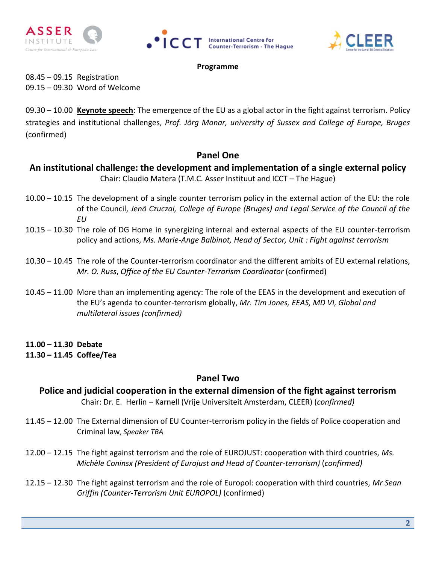





### **Programme**

08.45 – 09.15 Registration 09.15 – 09.30 Word of Welcome

09.30 – 10.00 **Keynote speech**: The emergence of the EU as a global actor in the fight against terrorism. Policy strategies and institutional challenges, *Prof. Jörg Monar, university of Sussex and College of Europe, Bruges*  (confirmed)

### **Panel One**

## **An institutional challenge: the development and implementation of a single external policy** Chair: Claudio Matera (T.M.C. Asser Instituut and ICCT – The Hague)

- 10.00 10.15 The development of a single counter terrorism policy in the external action of the EU: the role of the Council, *Jenö Czuczai, College of Europe (Bruges) and Legal Service of the Council of the EU*
- 10.15 10.30 The role of DG Home in synergizing internal and external aspects of the EU counter-terrorism policy and actions, *Ms. Marie-Ange Balbinot, Head of Sector, Unit : Fight against terrorism*
- 10.30 10.45 The role of the Counter-terrorism coordinator and the different ambits of EU external relations, *Mr. O. Russ*, *Office of the EU Counter-Terrorism Coordinator* (confirmed)
- 10.45 11.00 More than an implementing agency: The role of the EEAS in the development and execution of the EU's agenda to counter-terrorism globally, *Mr. Tim Jones, EEAS, MD VI, Global and multilateral issues (confirmed)*

### **11.00 – 11.30 Debate 11.30 – 11.45 Coffee/Tea**

## **Panel Two**

# **Police and judicial cooperation in the external dimension of the fight against terrorism** Chair: Dr. E. Herlin – Karnell (Vrije Universiteit Amsterdam, CLEER) (*confirmed)*

- 11.45 12.00 The External dimension of EU Counter-terrorism policy in the fields of Police cooperation and Criminal law, *Speaker TBA*
- 12.00 12.15 The fight against terrorism and the role of EUROJUST: cooperation with third countries, *Ms. Michèle Coninsx (President of Eurojust and Head of Counter-terrorism)* (*confirmed)*
- 12.15 12.30 The fight against terrorism and the role of Europol: cooperation with third countries, *Mr Sean Griffin (Counter-Terrorism Unit EUROPOL)* (confirmed)